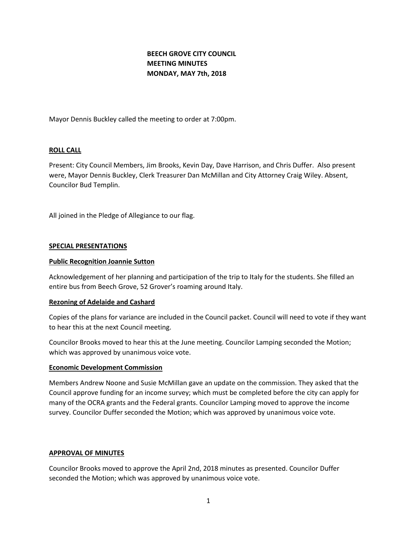# **BEECH GROVE CITY COUNCIL MEETING MINUTES MONDAY, MAY 7th, 2018**

Mayor Dennis Buckley called the meeting to order at 7:00pm.

## **ROLL CALL**

Present: City Council Members, Jim Brooks, Kevin Day, Dave Harrison, and Chris Duffer. Also present were, Mayor Dennis Buckley, Clerk Treasurer Dan McMillan and City Attorney Craig Wiley. Absent, Councilor Bud Templin.

All joined in the Pledge of Allegiance to our flag.

#### **SPECIAL PRESENTATIONS**

#### **Public Recognition Joannie Sutton**

Acknowledgement of her planning and participation of the trip to Italy for the students. She filled an entire bus from Beech Grove, 52 Grover's roaming around Italy.

#### **Rezoning of Adelaide and Cashard**

Copies of the plans for variance are included in the Council packet. Council will need to vote if they want to hear this at the next Council meeting.

Councilor Brooks moved to hear this at the June meeting. Councilor Lamping seconded the Motion; which was approved by unanimous voice vote.

#### **Economic Development Commission**

Members Andrew Noone and Susie McMillan gave an update on the commission. They asked that the Council approve funding for an income survey; which must be completed before the city can apply for many of the OCRA grants and the Federal grants. Councilor Lamping moved to approve the income survey. Councilor Duffer seconded the Motion; which was approved by unanimous voice vote.

#### **APPROVAL OF MINUTES**

Councilor Brooks moved to approve the April 2nd, 2018 minutes as presented. Councilor Duffer seconded the Motion; which was approved by unanimous voice vote.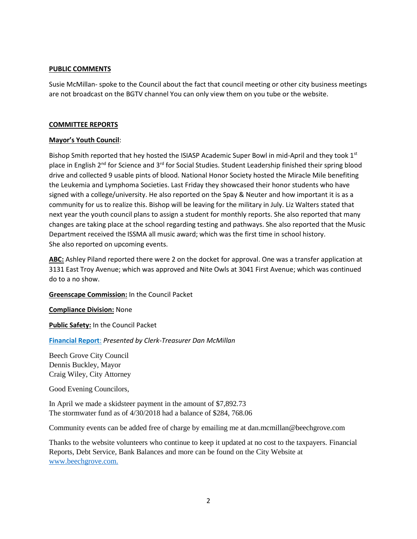# **PUBLIC COMMENTS**

Susie McMillan- spoke to the Council about the fact that council meeting or other city business meetings are not broadcast on the BGTV channel You can only view them on you tube or the website.

## **COMMITTEE REPORTS**

## **Mayor's Youth Council**:

Bishop Smith reported that hey hosted the ISIASP Academic Super Bowl in mid-April and they took 1st place in English 2<sup>nd</sup> for Science and 3<sup>rd</sup> for Social Studies. Student Leadership finished their spring blood drive and collected 9 usable pints of blood. National Honor Society hosted the Miracle Mile benefiting the Leukemia and Lymphoma Societies. Last Friday they showcased their honor students who have signed with a college/university. He also reported on the Spay & Neuter and how important it is as a community for us to realize this. Bishop will be leaving for the military in July. Liz Walters stated that next year the youth council plans to assign a student for monthly reports. She also reported that many changes are taking place at the school regarding testing and pathways. She also reported that the Music Department received the ISSMA all music award; which was the first time in school history. She also reported on upcoming events.

**ABC:** Ashley Piland reported there were 2 on the docket for approval. One was a transfer application at 3131 East Troy Avenue; which was approved and Nite Owls at 3041 First Avenue; which was continued do to a no show.

**Greenscape Commission:** In the Council Packet

**Compliance Division:** None

**Public Safety:** In the Council Packet

**[Financial Report](http://www.beechgrove.com/uploads/1/0/1/2/10129925/5.1.2018_financial_report.pdf)**: *Presented by Clerk-Treasurer Dan McMillan*

Beech Grove City Council Dennis Buckley, Mayor Craig Wiley, City Attorney

Good Evening Councilors,

In April we made a skidsteer payment in the amount of \$7,892.73 The stormwater fund as of 4/30/2018 had a balance of \$284, 768.06

Community events can be added free of charge by emailing me at dan.mcmillan@beechgrove.com

Thanks to the website volunteers who continue to keep it updated at no cost to the taxpayers. Financial Reports, Debt Service, Bank Balances and more can be found on the City Website at [www.beechgrove.com.](file:///C:/Users/dan/Documents/www.beechgrove.com)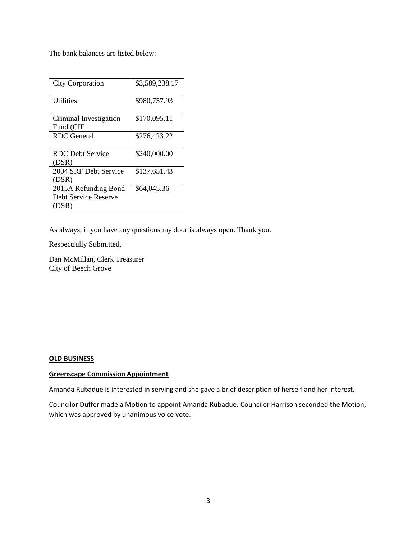The bank balances are listed below:

| <b>City Corporation</b> | \$3,589,238.17 |
|-------------------------|----------------|
| <b>Utilities</b>        | \$980,757.93   |
| Criminal Investigation  | \$170,095.11   |
| Fund (CIF               |                |
| RDC General             | \$276,423.22   |
|                         |                |
| RDC Debt Service        | \$240,000.00   |
| (DSR)                   |                |
| 2004 SRF Debt Service   | \$137,651.43   |
| (DSR)                   |                |
| 2015A Refunding Bond    | \$64,045.36    |
| Debt Service Reserve    |                |
| (DSR)                   |                |

As always, if you have any questions my door is always open. Thank you.

Respectfully Submitted,

Dan McMillan, Clerk Treasurer City of Beech Grove

#### **OLD BUSINESS**

#### **Greenscape Commission Appointment**

Amanda Rubadue is interested in serving and she gave a brief description of herself and her interest.

Councilor Duffer made a Motion to appoint Amanda Rubadue. Councilor Harrison seconded the Motion; which was approved by unanimous voice vote.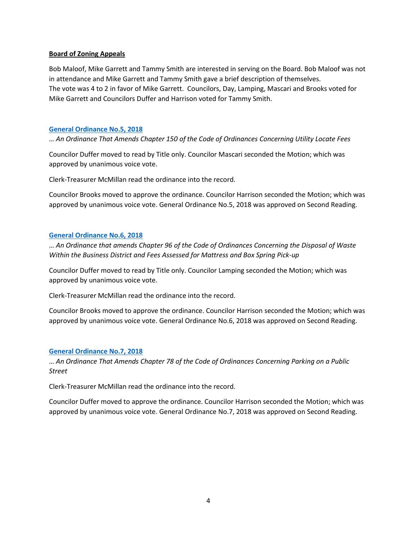# **Board of Zoning Appeals**

Bob Maloof, Mike Garrett and Tammy Smith are interested in serving on the Board. Bob Maloof was not in attendance and Mike Garrett and Tammy Smith gave a brief description of themselves. The vote was 4 to 2 in favor of Mike Garrett. Councilors, Day, Lamping, Mascari and Brooks voted for Mike Garrett and Councilors Duffer and Harrison voted for Tammy Smith.

## **[General Ordinance No.5, 2018](http://www.beechgrove.com/uploads/1/0/1/2/10129925/general_ordinance_5_2018.pdf)**

… *An Ordinance That Amends Chapter 150 of the Code of Ordinances Concerning Utility Locate Fees*

Councilor Duffer moved to read by Title only. Councilor Mascari seconded the Motion; which was approved by unanimous voice vote.

Clerk-Treasurer McMillan read the ordinance into the record.

Councilor Brooks moved to approve the ordinance. Councilor Harrison seconded the Motion; which was approved by unanimous voice vote. General Ordinance No.5, 2018 was approved on Second Reading.

#### **[General Ordinance No.6, 2018](http://www.beechgrove.com/uploads/1/0/1/2/10129925/general_ordinance_6_2018.pdf)**

… *An Ordinance that amends Chapter 96 of the Code of Ordinances Concerning the Disposal of Waste Within the Business District and Fees Assessed for Mattress and Box Spring Pick-up*

Councilor Duffer moved to read by Title only. Councilor Lamping seconded the Motion; which was approved by unanimous voice vote.

Clerk-Treasurer McMillan read the ordinance into the record.

Councilor Brooks moved to approve the ordinance. Councilor Harrison seconded the Motion; which was approved by unanimous voice vote. General Ordinance No.6, 2018 was approved on Second Reading.

#### **[General Ordinance No.7, 2018](http://www.beechgrove.com/uploads/1/0/1/2/10129925/general_ordinance_7_2018.pdf)**

… *An Ordinance That Amends Chapter 78 of the Code of Ordinances Concerning Parking on a Public Street*

Clerk-Treasurer McMillan read the ordinance into the record.

Councilor Duffer moved to approve the ordinance. Councilor Harrison seconded the Motion; which was approved by unanimous voice vote. General Ordinance No.7, 2018 was approved on Second Reading.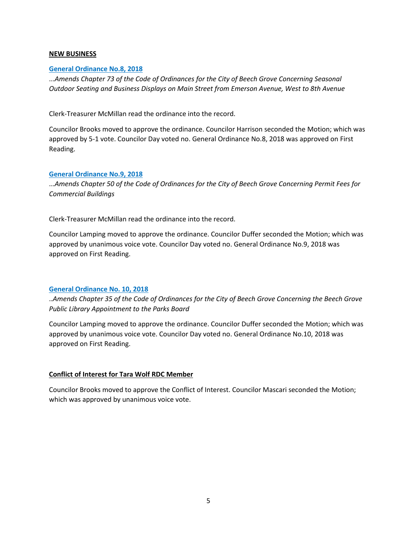# **NEW BUSINESS**

# **[General Ordinance No.8, 2018](http://www.beechgrove.com/uploads/1/0/1/2/10129925/general_ordinance_8_2018.pdf)**

...*Amends Chapter 73 of the Code of Ordinances for the City of Beech Grove Concerning Seasonal Outdoor Seating and Business Displays on Main Street from Emerson Avenue, West to 8th Avenue*

Clerk-Treasurer McMillan read the ordinance into the record.

Councilor Brooks moved to approve the ordinance. Councilor Harrison seconded the Motion; which was approved by 5-1 vote. Councilor Day voted no. General Ordinance No.8, 2018 was approved on First Reading.

## **[General Ordinance No.9, 2018](http://www.beechgrove.com/uploads/1/0/1/2/10129925/general_ordinance_9_2018.pdf)**

...*Amends Chapter 50 of the Code of Ordinances for the City of Beech Grove Concerning Permit Fees for Commercial Buildings*

Clerk-Treasurer McMillan read the ordinance into the record.

Councilor Lamping moved to approve the ordinance. Councilor Duffer seconded the Motion; which was approved by unanimous voice vote. Councilor Day voted no. General Ordinance No.9, 2018 was approved on First Reading.

#### **[General Ordinance No. 10, 2018](http://www.beechgrove.com/uploads/1/0/1/2/10129925/general_ordinance_10_2018.pdf)**

..*Amends Chapter 35 of the Code of Ordinances for the City of Beech Grove Concerning the Beech Grove Public Library Appointment to the Parks Board*

Councilor Lamping moved to approve the ordinance. Councilor Duffer seconded the Motion; which was approved by unanimous voice vote. Councilor Day voted no. General Ordinance No.10, 2018 was approved on First Reading.

# **Conflict of Interest for Tara Wolf RDC Member**

Councilor Brooks moved to approve the Conflict of Interest. Councilor Mascari seconded the Motion; which was approved by unanimous voice vote.